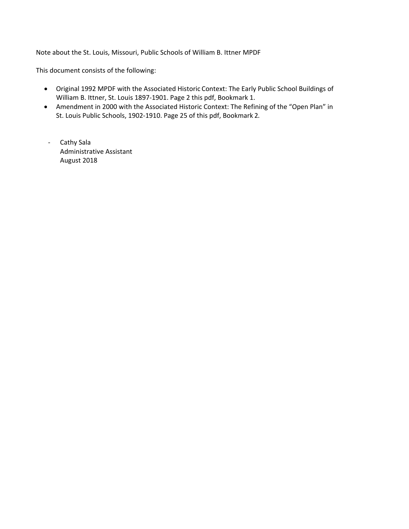Note about the St. Louis, Missouri, Public Schools of William B. Ittner MPDF

This document consists of the following:

- Original 1992 MPDF with the Associated Historic Context: The Early Public School Buildings of William B. Ittner, St. Louis 1897‐1901. Page 2 this pdf, Bookmark 1.
- Amendment in 2000 with the Associated Historic Context: The Refining of the "Open Plan" in St. Louis Public Schools, 1902‐1910. Page 25 of this pdf, Bookmark 2.
- ‐ Cathy Sala Administrative Assistant August 2018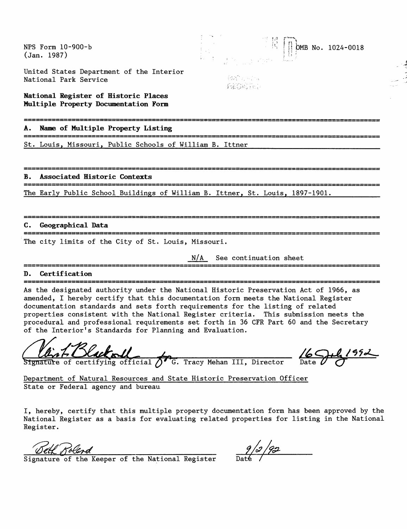NFS Form 10-900-b (Jan. 1987)

 $0 M B$  No. 1024-0018

United States Department of the Interior National Park Service

**National Register of Historic Places Multiple Property Documentation Form**

.<br>و بود می دانش میس بیمی دانش دانش مینو بیمی بیمی بازش میدم بیش می برای می ش

**A. Name of Multiple Property Listing**

St. Louis, Missouri, Public Schools of William B. Ittner\_\_\_\_\_\_\_\_\_\_\_\_\_\_\_\_\_\_\_\_\_\_\_\_

**B. Associated Historic Contexts**

.<br>2010 - 2010 - 2010 - 2010 - 2010 - 2020 - 2020 - 2020 - 2020 - 2020 - 2020 - 2020 - 2020 - 2020 The Early Public School Buildings of William B. Ittner, St. Louis, 1897-1901.

#### **C. Geographical Data**

The city limits of the City of St. Louis, Missouri.

N/A See continuation sheet

發達 可以 **fability:** 

#### **D. Certification**

As the designated authority under the National Historic Preservation Act of 1966, as amended, I hereby certify that this documentation form meets the National Register documentation standards and sets forth requirements for the listing of related properties consistent with the National Register criteria. This submission meets the procedural and professional requirements set forth in 36 CFR Part 60 and the Secretary of the Interior's Standards for Planning and Evaluation.

<u>Client Hacked Community of G. Tracy Mehan III</u>, Director Date & C

Department of Natural Resources and State Historic Preservation Officer State or Federal agency and bureau

I, hereby, certify that this multiple property documentation form has been approved by the National Register as a basis for evaluating related properties for listing in the National Register.

 $\frac{\partial e}{\partial x}$  Signature of the Keeper of the National Register Date /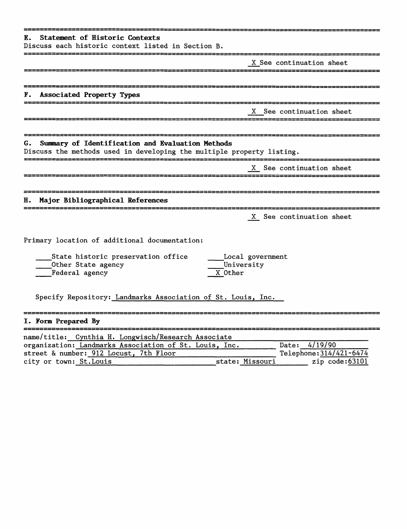| Statement of Historic Contexts<br>в.<br>Discuss each historic context listed in Section B.                                             |                                |
|----------------------------------------------------------------------------------------------------------------------------------------|--------------------------------|
|                                                                                                                                        | X See continuation sheet       |
| Associated Property Types<br>r.                                                                                                        |                                |
|                                                                                                                                        | X See continuation sheet       |
| Summary of Identification and Evaluation Methods<br>G.<br>Discuss the methods used in developing the multiple property listing.        |                                |
|                                                                                                                                        | X See continuation sheet       |
| Major Bibliographical References<br>н.                                                                                                 |                                |
|                                                                                                                                        | X See continuation sheet       |
| Primary location of additional documentation:<br>State historic preservation office<br>Other State agency<br>Federal agency<br>X Other | Local government<br>University |
| Specify Repository: Landmarks Association of St. Louis, Inc.                                                                           |                                |
| I. Form Prepared By                                                                                                                    |                                |
| name/title: Cynthia H. Longwisch/Research Associate                                                                                    |                                |

| name/title: Cynthia H. Longwisch/Research Associate    |                 |                         |
|--------------------------------------------------------|-----------------|-------------------------|
| organization: Landmarks Association of St. Louis, Inc. |                 | Date: $4/19/90$         |
| street & number: 912 Locust, 7th Floor                 |                 | Telephone: 314/421-6474 |
| city or town: St.Louis                                 | state: Missouri | zip code:63101          |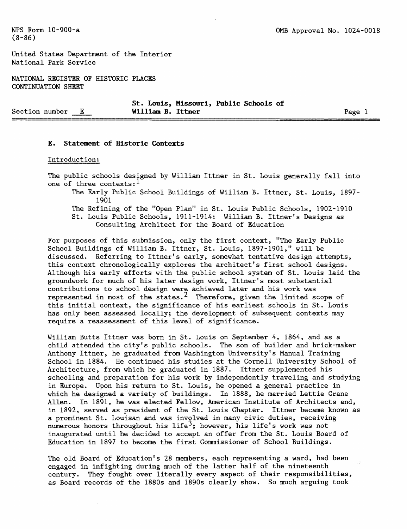United States Department of the Interior National Park Service

NATIONAL REGISTER OF HISTORIC PLACES CONTINUATION SHEET

|                |   |                   | St. Louis, Missouri, Public Schools of |      |
|----------------|---|-------------------|----------------------------------------|------|
| Section number | Е | William B. Ittner |                                        | Page |
|                |   |                   |                                        |      |

#### **E. Statement of Historic Contexts**

#### Introduction;

The public schools designed by William Ittner in St. Louis generally fall into one of three contexts:

The Early Public School Buildings of William B. Ittner, St. Louis, 1897- 1901

The Refining of the "Open Plan" in St. Louis Public Schools, 1902-1910 St. Louis Public Schools, 1911-1914: William B. Ittner's Designs as Consulting Architect for the Board of Education

For purposes of this submission, only the first context, "The Early Public School Buildings of William B. Ittner, St. Louis, 1897-1901," will be discussed. Referring to Ittner's early, somewhat tentative design attempts, this context chronologically explores the architect's first school designs. Although his early efforts with the public school system of St. Louis laid the groundwork for much of his later design work, Ittner's most substantial contributions to school design were achieved later and his work was represented in most of the states.<sup>2</sup> Therefore, given the limited scope of this initial context, the significance of his earliest schools in St. Louis has only been assessed locally; the development of subsequent contexts may require a reassessment of this level of significance.

William Butts Ittner was born in St. Louis on September 4, 1864, and as a child attended the city's public schools. The son of builder and brick-maker Anthony Ittner, he graduated from Washington University's Manual Training School in 1884. He continued his studies at the Cornell University School of Architecture, from which he graduated in 1887. Ittner supplemented his schooling and preparation for his work by independently traveling and studying in Europe. Upon his return to St. Louis, he opened a general practice in which he designed a variety of buildings. In 1888, he married Lettie Crane Alien. In 1891, he was elected Fellow, American Institute of Architects and, in 1892, served as president of the St. Louis Chapter. Ittner became known as a prominent St. Louisan and was involved in many civic duties, receiving numerous honors throughout his life<sup>3</sup>; however, his life's work was not inaugurated until he decided to accept an offer from the St. Louis Board of Education in 1897 to become the first Commissioner of School Buildings.

The old Board of Education's 28 members, each representing a ward, had been engaged in infighting during much of the latter half of the nineteenth century. They fought over literally every aspect of their responsibilities, as Board records of the 1880s and 1890s clearly show. So much arguing took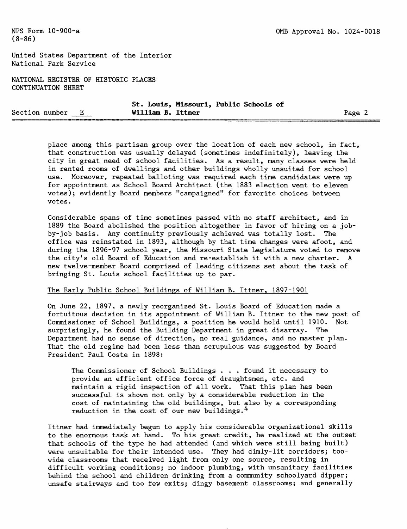United States Department of the Interior National Park Service

NATIONAL REGISTER OF HISTORIC PLACES CONTINUATION SHEET

|                |  | St. Louis, Missouri, Public Schools of |        |  |
|----------------|--|----------------------------------------|--------|--|
| Section number |  | William B. Ittner                      | Page 2 |  |

place among this partisan group over the location of each new school, in fact, that construction was usually delayed (sometimes indefinitely), leaving the city in great need of school facilities. As a result, many classes were held in rented rooms of dwellings and other buildings wholly unsuited for school use. Moreover, repeated balloting was required each time candidates were up for appointment as School Board Architect (the 1883 election went to eleven votes); evidently Board members "campaigned" for favorite choices between votes.

Considerable spans of time sometimes passed with no staff architect, and in 1889 the Board abolished the position altogether in favor of hiring on a jobby-job basis. Any continuity previously achieved was totally lost. The office was reinstated in 1893, although by that time changes were afoot, and during the 1896-97 school year, the Missouri State Legislature voted to remove the city's old Board of Education and re-establish it with a new charter. A new twelve-member Board comprised of leading citizens set about the task of bringing St. Louis school facilities up to par.

#### The Early Public School Buildings of William B. Ittner, 1897-1901

On June 22, 1897, a newly reorganized St. Louis Board of Education made a fortuitous decision in its appointment of William B. Ittner to the new post of Commissioner of School Buildings, a position he would hold until 1910. Not surprisingly, he found the Building Department in great disarray. The Department had no sense of direction, no real guidance, and no master plan. That the old regime had been less than scrupulous was suggested by Board President Paul Coste in 1898:

The Commissioner of School Buildings . . . found it necessary to provide an efficient office force of draughtsmen, etc. and maintain a rigid inspection of all work. That this plan has been successful is shown not only by a considerable reduction in the cost of maintaining the old buildings, but also by a corresponding reduction in the cost of our new buildings.<sup>4</sup>

Ittner had immediately begun to apply his considerable organizational skills to the enormous task at hand. To his great credit, he realized at the outset that schools of the type he had attended (and which were still being built) were unsuitable for their intended use. They had dimly-lit corridors; toowide classrooms that received light from only one source, resulting in difficult working conditions; no indoor plumbing, with unsanitary facilities behind the school and children drinking from a community schoolyard dipper; unsafe stairways and too few exits; dingy basement classrooms; and generally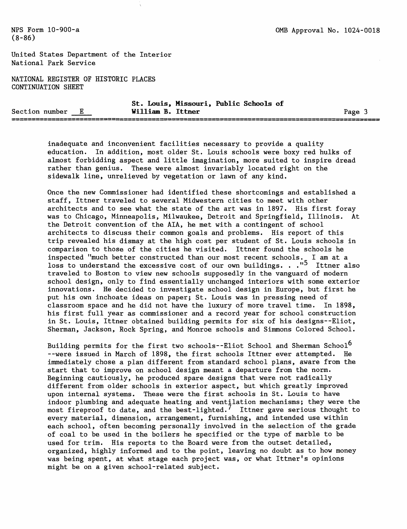United States Department of the Interior National Park Service

NATIONAL REGISTER OF HISTORIC PLACES CONTINUATION SHEET

|                |  |                   |  | St. Louis, Missouri, Public Schools of |      |
|----------------|--|-------------------|--|----------------------------------------|------|
| Section number |  | William B. Ittner |  |                                        | Page |
|                |  |                   |  |                                        |      |

inadequate and inconvenient facilities necessary to provide a quality education. In addition, most older St. Louis schools were boxy red hulks of almost forbidding aspect and little imagination, more suited to inspire dread rather than genius. These were almost invariably located right on the sidewalk line, unrelieved by vegetation or lawn of any kind.

Once the new Commissioner had identified these shortcomings and established a staff, Ittner traveled to several Midwestern cities to meet with other architects and to see what the state of the art was in 1897. His first foray was to Chicago, Minneapolis, Milwaukee, Detroit and Springfield, Illinois. At the Detroit convention of the AIA, he met with a contingent of school architects to discuss their common goals and problems. His report of this trip revealed his dismay at the high cost per student of St. Louis schools in comparison to those of the cities he visited. Ittner found the schools he inspected "much better constructed than our most recent schools. I am at a loss to understand the excessive cost of our own buildings. . ."<sup>J</sup> Ittner also traveled to Boston to view new schools supposedly in the vanguard of modern school design, only to find essentially unchanged interiors with some exterior innovations. He decided to investigate school design in Europe, but first he put his own inchoate ideas on paper; St. Louis was in pressing need of classroom space and he did not have the luxury of more travel time. In 1898, his first full year as commissioner and a record year for school construction in St. Louis, Ittner obtained building permits for six of his designs--Eliot, Sherman, Jackson, Rock Spring, and Monroe schools and Simmons Colored School.

Building permits for the first two schools--Eliot School and Sherman School<sup>6</sup> --were issued in March of 1898, the first schools Ittner ever attempted. He immediately chose a plan different from standard school plans, aware from the start that to improve on school design meant a departure from the norm. Beginning cautiously, he produced spare designs that were not radically different from older schools in exterior aspect, but which greatly improved upon internal systems. These were the first schools in St. Louis to have indoor plumbing and adequate heating and ventilation mechanisms; they were the most fireproof to date, and the best-lighted.<sup>7</sup> Ittner gave serious thought to every material, dimension, arrangement, furnishing, and intended use within each school, often becoming personally involved in the selection of the grade of coal to be used in the boilers he specified or the type of marble to be used for trim. His reports to the Board were from the outset detailed, organized, highly informed and to the point, leaving no doubt as to how money was being spent, at what stage each project was, or what Ittner's opinions might be on a given school-related subject.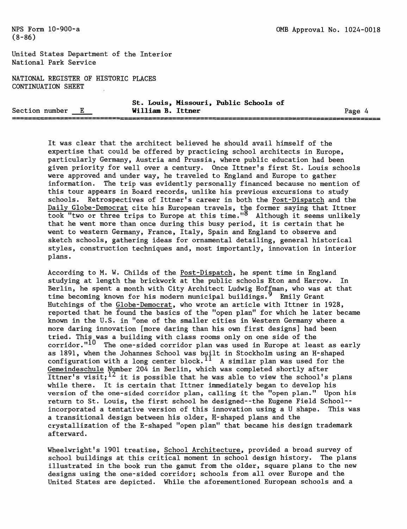United States Department of the Interior National Park Service

NATIONAL REGISTER OF HISTORIC PLACES **CONTINUATION SHEET** 

|                  |  |                   | St. Louis, Missouri, Public Schools of |        |
|------------------|--|-------------------|----------------------------------------|--------|
| Section number E |  | William B. Ittner |                                        | Page 4 |
|                  |  |                   |                                        |        |

It was clear that the architect believed he should avail himself of the expertise that could be offered by practicing school architects in Europe, particularly Germany, Austria and Prussia, where public education had been given priority for well over a century. Once Ittner's first St. Louis schools were approved and under way, he traveled to England and Europe to gather information. The trip was evidently personally financed because no mention of this tour appears in Board records, unlike his previous excursions to study schools. Retrospectives of Ittner's career in both the Post-Dispatch and the Daily Globe-Democrat cite his European travels, the former saying that Ittner took "two or three trips to Europe at this time."\*\* Although it seems unlikely that he went more than once during this busy period, it is certain that he went to western Germany, France, Italy, Spain and England to observe and sketch schools, gathering ideas for ornamental detailing, general historical styles, construction techniques and, most importantly, innovation in interior plans.

According to M. W. Childs of the Post-Dispatch, he spent time in England studying at length the brickwork at the public schools Eton and Harrow. In Berlin, he spent a month with City Architect Ludwig Hoffman, who was at that time becoming known for his modern municipal buildings. <sup>9</sup> Emily Grant Hutchings of the Globe-Democrat, who wrote an article with Ittner in 1928, reported that he found the basics of the "open plan" for which he later became known in the U.S. in "one of the smaller cities in Western Germany where a more daring innovation [more daring than his own first designs] had been tried. This was a building with class rooms only on one side of the corridor." $10$  The one-sided corridor plan was used in Europe at least as early as 1891, when the Johannes School was built in Stockholm using an H-shaped configuration with a long center block.  $^{11}$  A similar plan was used for the Gemeindeschule Number 204 in Berlin, which was completed shortly after Ittner's visit;<sup>12</sup> it is possible that he was able to view the school's plans while there. It is certain that Ittner immediately began to develop his version of the one-sided corridor plan, calling it the "open plan." Upon his return to St. Louis, the first school he designed--the Eugene Field School- incorporated a tentative version of this innovation using a U shape. This was a transitional design between his older, H-shaped plans and the crystallization of the E-shaped "open plan" that became his design trademark afterward.

Wheelwright's 1901 treatise, School Architecture, provided a broad survey of school buildings at this critical moment in school design history. The plans illustrated in the book run the gamut from the older, square plans to the new designs using the one-sided corridor; schools from all over Europe and the United States are depicted. While the aforementioned European schools and a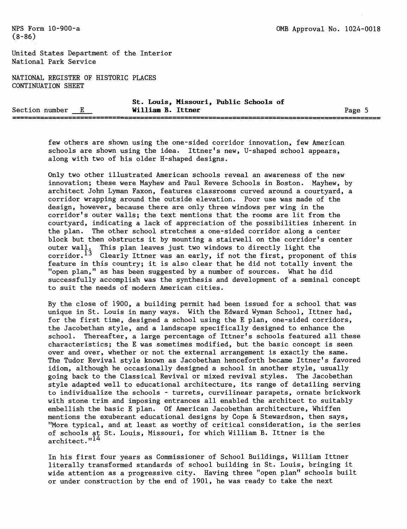United States Department of the Interior National Park Service

NATIONAL REGISTER OF HISTORIC PLACES CONTINUATION SHEET

|                  |  |                   | St. Louis, Missouri, Public Schools of |        |
|------------------|--|-------------------|----------------------------------------|--------|
| Section number E |  | William B. Ittner |                                        | Page 5 |
|                  |  |                   |                                        |        |

few others are shown using the one-sided corridor innovation, few American schools are shown using the idea. Ittner's new, U-shaped school appears, along with two of his older H-shaped designs.

Only two other illustrated American schools reveal an awareness of the new innovation; these were Mayhew and Paul Revere Schools in Boston. Mayhew, by architect John Lyman Faxon, features classrooms curved around a courtyard, a corridor wrapping around the outside elevation. Poor use was made of the design, however, because there are only three windows per wing in the corridor's outer walls; the text mentions that the rooms are lit from the courtyard, indicating a lack of appreciation of the possibilities inherent in the plan. The other school stretches a one-sided corridor along a center block but then obstructs it by mounting a stairwell on the corridor's center outer wall. This plan leaves just two windows to directly light the corridor.<sup>13</sup> Clearly Ittner was an early, if not the first, proponent of this feature in this country; it is also clear that he did not totally invent the "open plan," as has been suggested by a number of sources. What he did successfully accomplish was the synthesis and development of a seminal concept to suit the needs of modern American cities.

By the close of 1900, a building permit had been issued for a school that was unique in St. Louis in many ways. With the Edward Wyman School, Ittner had, for the first time, designed a school using the E plan, one-sided corridors, the Jacobethan style, and a landscape specifically designed to enhance the school. Thereafter, a large percentage of Ittner's schools featured all these characteristics; the E was sometimes modified, but the basic concept is seen over and over, whether or not the external arrangement is exactly the same. The Tudor Revival style known as Jacobethan henceforth became Ittner's favored idiom, although he occasionally designed a school in another style, usually going back to the Classical Revival or mixed revival styles. The Jacobethan style adapted well to educational architecture, its range of detailing serving to individualize the schools - turrets, curvilinear parapets, ornate brickwork with stone trim and imposing entrances all enabled the architect to suitably embellish the basic E plan. Of American Jacobethan architecture, Whiffen mentions the exuberant educational designs by Cope & Stewardson, then says, "More typical, and at least as worthy of critical consideration, is the series of schools at St. Louis, Missouri, for which William B. Ittner is the architect."<sup>14</sup>

In his first four years as Commissioner of School Buildings, William Ittner literally transformed standards of school building in St. Louis, bringing it wide attention as a progressive city. Having three "open plan" schools built or under construction by the end of 1901, he was ready to take the next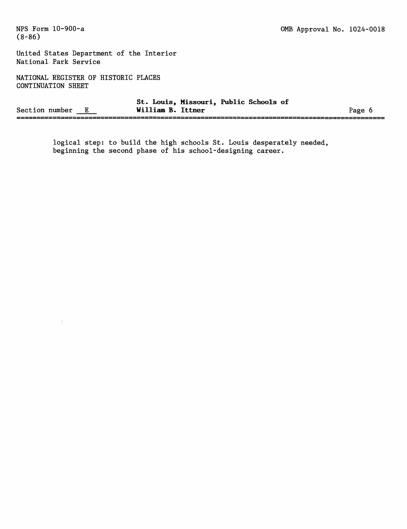$\frac{1}{2}$ 

United States Department of the Interior National Park Service

NATIONAL REGISTER OF HISTORIC PLACES CONTINUATION SHEET

|                | St.               | Louis, Missouri, Public Schools of |      |
|----------------|-------------------|------------------------------------|------|
| Section number | William B. Ittner |                                    | Page |
|                |                   |                                    |      |

logical step: to build the high schools St. Louis desperately needed, beginning the second phase of his school-designing career.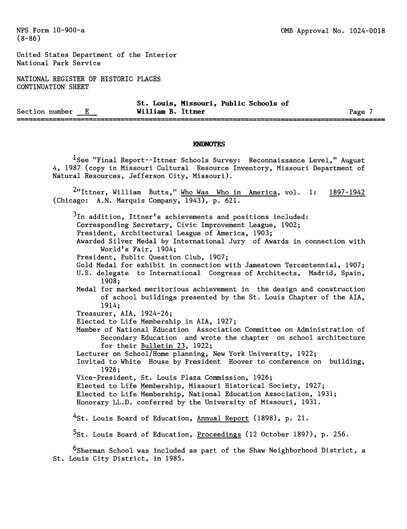United States Department of the Interior National Park Service

NATIONAL REGISTER OF HISTORIC PLACES **CONTINUATION SHEET** 

**St. Louis, Missouri, Public Schools of** Section number E **William B. Ittner** Page 7 --------

#### **ENDNOTES**

<sup>1</sup>See "Final Report--Ittner Schools Survey: Reconnaissance Level," August 4, 1987 (copy in Missouri Cultural Resource Inventory, Missouri Department of Natural Resources, Jefferson City, Missouri).

<sup>2</sup>"Ittner, William Butts," Who Was Who in America, vol. 1: 1897-1942 (Chicago: A.N. Marquis Company, 1943), p. 621.

 $^3{\rm In}$  addition, Ittner's achievements and positions included:

Corresponding Secretary, Civic Improvement League, 1902;

President, Architectural League of America, 1903;

Awarded Silver Medal by International Jury of Awards in connection with World's Fair, 1904;

President, Public Question Club, 1907;

Gold Medal for exhibit in connection with Jamestown Tercentennial, 1907;

U.S. delegate to International Congress of Architects, Madrid, Spain, 1908;

Medal for marked meritorious achievement in the design and construction of school buildings presented by the St. Louis Chapter of the AIA, 1914;

Treasurer, AIA, 1924-26;

Elected to Life Membership in AIA, 1927;

Member of National Education Association Committee on Administration of Secondary Education and wrote the chapter on school architecture for their Bulletin 23, 1922;

Lecturer on School/Home planning, New York University, 1922;

Invited to White House by President Hoover to conference on building, 1926;

Vice-President, St. Louis Plaza Commission, 1926;

Elected to Life Membership, Missouri Historical Society, 1927;

Elected to Life Membership, National Education Association, 1931;

Honorary LL.D. conferred by the University of Missouri, 1931.

<sup>4</sup>St. Louis Board of Education, Annual Report (1898), p. 21.

<sup>5</sup>St. Louis Board of Education, Proceedings (12 October 1897), p. 256.

 $6$ Sherman School was included as part of the Shaw Neighborhood District, a St. Louis City District, in 1985.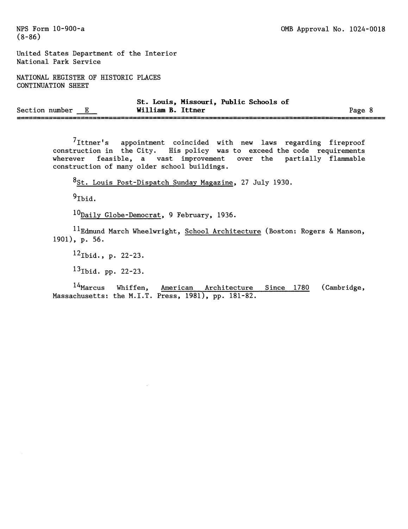United States Department of the Interior National Park Service

NATIONAL REGISTER OF HISTORIC PLACES CONTINUATION SHEET

|                |  | St.               | Louis, Missouri, Public Schools of |  |      |  |
|----------------|--|-------------------|------------------------------------|--|------|--|
| Section number |  | William B. Ittner |                                    |  | Page |  |
|                |  |                   |                                    |  |      |  |

<sup>7</sup>Ittner's appointment coincided with new laws regarding fireproof construction in the City. His policy was to exceed the code requirements wherever feasible, a vast improvement over the partially flammable construction of many older school buildings.

8<sub>St.</sub> Louis Post-Dispatch Sunday Magazine, 27 July 1930.

 $9$ Ibid.

10Daily Globe-Democrat, 9 February, 1936.

 $^{11}$ Edmund March Wheelwright, School Architecture (Boston: Rogers & Manson, 1901), p. 56.

 $12$ Ibid., p. 22-23.

 $13$  Ibid. pp. 22-23.

 $14$ Marcus Whiffen, American Architecture Since 1780 (Cambridge, Massachusetts: the M.I.T. Press, 1981), pp. 181-82.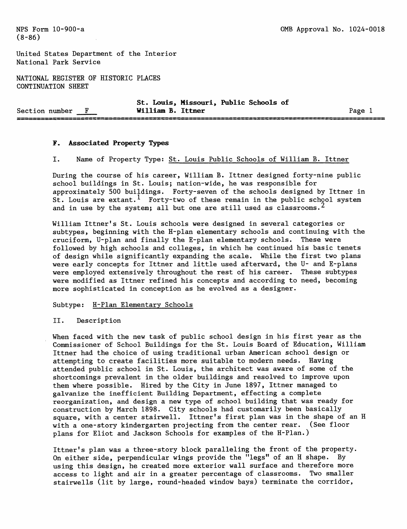United States Department of the Interior National Park Service

NATIONAL REGISTER OF HISTORIC PLACES CONTINUATION SHEET

|                | St. Louis, Missouri, Public Schools of |      |
|----------------|----------------------------------------|------|
| Section number | William B. Ittner                      | Page |
|                |                                        |      |

#### **F. Associated Property Types**

I. Name of Property Type: St. Louis Public Schools of William B. Ittner

During the course of his career, William B. Ittner designed forty-nine public school buildings in St. Louis; nation-wide, he was responsible for approximately 500 buildings. Forty-seven of the schools designed by Ittner in St. Louis are extant.<sup>1</sup> Forty-two of these remain in the public school system and in use by the system; all but one are still used as classrooms.<sup>2</sup>

William Ittner's St. Louis schools were designed in several categories or subtypes, beginning with the H-plan elementary schools and continuing with the cruciform, U-plan and finally the E-plan elementary schools. These were followed by high schools and colleges, in which he continued his basic tenets of design while significantly expanding the scale. While the first two plans were early concepts for Ittner and little used afterward, the U- and E-plans were employed extensively throughout the rest of his career. These subtypes were modified as Ittner refined his concepts and according to need, becoming more sophisticated in conception as he evolved as a designer.

#### Subtype: H-Plan Elementary Schools

II. Description

When faced with the new task of public school design in his first year as the Commissioner of School Buildings for the St. Louis Board of Education, William Ittner had the choice of using traditional urban American school design or attempting to create facilities more suitable to modern needs. Having attended public school in St. Louis, the architect was aware of some of the shortcomings prevalent in the older buildings and resolved to improve upon them where possible. Hired by the City in June 1897, Ittner managed to galvanize the inefficient Building Department, effecting a complete reorganization, and design a new type of school building that was ready for construction by March 1898. City schools had customarily been basically square, with a center stairwell. Ittner's first plan was in the shape of an H with a one-story kindergarten projecting from the center rear. (See floor plans for Eliot and Jackson Schools for examples of the H-Plan.)

Ittner's plan was a three-story block paralleling the front of the property. On either side, perpendicular wings provide the "legs" of an H shape. By using this design, he created more exterior wall surface and therefore more access to light and air in a greater percentage of classrooms. Two smaller stairwells (lit by large, round-headed window bays) terminate the corridor,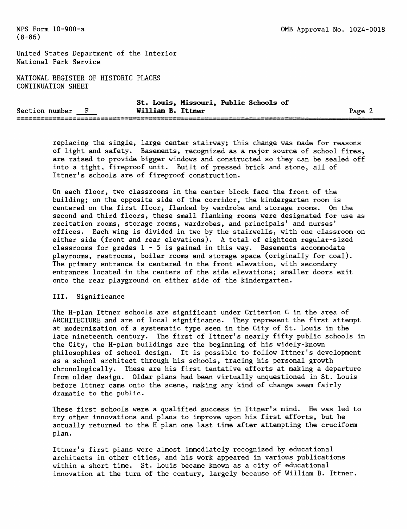United States Department of the Interior National Park Service

NATIONAL REGISTER OF HISTORIC PLACES CONTINUATION SHEET

|                |  | St. Louis, Missouri, Public Schools of |      |
|----------------|--|----------------------------------------|------|
| Section number |  | William B. Ittner                      | Page |
|                |  |                                        |      |

replacing the single, large center stairway; this change was made for reasons of light and safety. Basements, recognized as a major source of school fires, are raised to provide bigger windows and constructed so they can be sealed off into a tight, fireproof unit. Built of pressed brick and stone, all of Ittner's schools are of fireproof construction.

On each floor, two classrooms in the center block face the front of the building; on the opposite side of the corridor, the kindergarten room is centered on the first floor, flanked by wardrobe and storage rooms. On the second and third floors, these small flanking rooms were designated for use as recitation rooms, storage rooms, wardrobes, and principals' and nurses' offices. Each wing is divided in two by the stairwells, with one classroom on either side (front and rear elevations). A total of eighteen regular-sized classrooms for grades  $1 - 5$  is gained in this way. Basements accommodate playrooms, restrooms, boiler rooms and storage space (originally for coal). The primary entrance is centered in the front elevation, with secondary entrances located in the centers of the side elevations; smaller doors exit onto the rear playground on either side of the kindergarten.

### III. Significance

The H-plan Ittner schools are significant under Criterion C in the area of ARCHITECTURE and are of local significance. They represent the first attempt at modernization of a systematic type seen in the City of St. Louis in the late nineteenth century. The first of Ittner's nearly fifty public schools in the City, the H-plan buildings are the beginning of his widely-known philosophies of school design. It is possible to follow Ittner's development as a school architect through his schools, tracing his personal growth chronologically. These are his first tentative efforts at making a departure from older design. Older plans had been virtually unquestioned in St. Louis before Ittner came onto the scene, making any kind of change seem fairly dramatic to the public.

These first schools were a qualified success in Ittner's mind. He was led to try other innovations and plans to improve upon his first efforts, but he actually returned to the H plan one last time after attempting the cruciform plan.

Ittner's first plans were almost immediately recognized by educational architects in other cities, and his work appeared in various publications within a short time. St. Louis became known as a city of educational innovation at the turn of the century, largely because of William B. Ittner.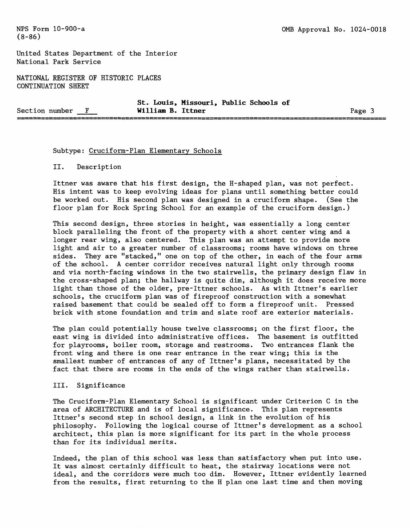United States Department of the Interior National Park Service

NATIONAL REGISTER OF HISTORIC PLACES CONTINUATION SHEET

**St. Louis, Missouri, Public Schools of** Section number <u>F</u> William B. Ittner<br> **Example 2** Page 3<br> **EXAMPLE 2018** -----------------------------

#### Subtype: Cruciform-Plan Elementary Schools

II. Description

Ittner was aware that his first design, the H-shaped plan, was not perfect. His intent was to keep evolving ideas for plans until something better could be worked out. His second plan was designed in a cruciform shape. (See the floor plan for Rock Spring School for an example of the cruciform design.)

This second design, three stories in height, was essentially a long center block paralleling the front of the property with a short center wing and a longer rear wing, also centered. This plan was an attempt to provide more light and air to a greater number of classrooms; rooms have windows on three sides. They are "stacked," one on top of the other, in each of the four arms of the school. A center corridor receives natural light only through rooms and via north-facing windows in the two stairwells, the primary design flaw in the cross-shaped plan; the hallway is quite dim, although it does receive more light than those of the older, pre-Ittner schools. As with Ittner's earlier schools, the cruciform plan was of fireproof construction with a somewhat raised basement that could be sealed off to form a fireproof unit. Pressed brick with stone foundation and trim and slate roof are exterior materials.

The plan could potentially house twelve classrooms; on the first floor, the east wing is divided into administrative offices. The basement is outfitted for playrooms, boiler room, storage and restrooms. Two entrances flank the front wing and there is one rear entrance in the rear wing; this is the smallest number of entrances of any of Ittner's plans, necessitated by the fact that there are rooms in the ends of the wings rather than stairwells.

#### III. Significance

The Cruciform-Plan Elementary School is significant under Criterion C in the area of ARCHITECTURE and is of local significance. This plan represents Ittner's second step in school design, a link in the evolution of his philosophy. Following the logical course of Ittner's development as a school architect, this plan is more significant for its part in the whole process than for its individual merits.

Indeed, the plan of this school was less than satisfactory when put into use. It was almost certainly difficult to heat, the stairway locations were not ideal, and the corridors were much too dim. However, Ittner evidently learned from the results, first returning to the H plan one last time and then moving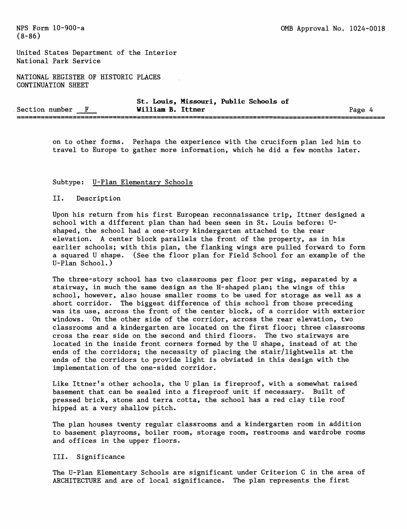United States Department of the Interior National Park Service

NATIONAL REGISTER OF HISTORIC PLACES CONTINUATION SHEET

|                  | St. Louis, Missouri, Public Schools of |        |
|------------------|----------------------------------------|--------|
| Section number F | William B. Ittner                      | Page 4 |
|                  |                                        |        |

on to other forms. Perhaps the experience with the cruciform plan led him to travel to Europe to gather more information, which he did a few months later.

#### Subtype: U-Plan Elementary Schools

## II. Description

Upon his return from his first European reconnaissance trip, Ittner designed a school with a different plan than had been seen in St. Louis before: Ushaped, the school had a one-story kindergarten attached to the rear elevation. A center block parallels the front of the property, as in his earlier schools; with this plan, the flanking wings are pulled forward to form a squared U shape. (See the floor plan for Field School for an example of the U-Plan School.)

The three-story school has two classrooms per floor per wing, separated by a stairway, in much the same design as the H-shaped plan; the wings of this school, however, also house smaller rooms to be used for storage as well as a short corridor. The biggest difference of this school from those preceding was its use, across the front of the center block, of a corridor with exterior windows. On the other side of the corridor, across the rear elevation, two classrooms and a kindergarten are located on the first floor; three classrooms cross the rear side on the second and third floors. The two stairways are located in the inside front corners formed by the U shape, instead of at the ends of the corridors; the necessity of placing the stair/lightwells at the ends of the corridors to provide light is obviated in this design with the implementation of the one-sided corridor.

Like Ittner's other schools, the U plan is fireproof, with a somewhat raised basement that can be sealed into a fireproof unit if necessary. Built of pressed brick, stone and terra cotta, the school has a red clay tile roof hipped at a very shallow pitch.

The plan houses twenty regular classrooms and a kindergarten room in addition to basement playrooms, boiler room, storage room, restrooms and wardrobe rooms and offices in the upper floors.

### III. Significance

The U-Plan Elementary Schools are significant under Criterion C in the area of ARCHITECTURE and are of local significance. The plan represents the first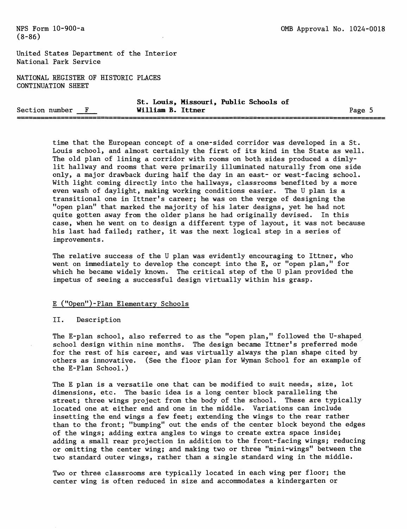United States Department of the Interior National Park Service

NATIONAL REGISTER OF HISTORIC PLACES CONTINUATION SHEET

|                | St. Louis, Missouri, Public Schools of |       |
|----------------|----------------------------------------|-------|
| Section number | William B. Ittner                      | Page. |
|                |                                        |       |

time that the European concept of a one-sided corridor was developed in a St. Louis school, and almost certainly the first of its kind in the State as well. The old plan of lining a corridor with rooms on both sides produced a dimlylit hallway and rooms that were primarily illuminated naturally from one side only, a major drawback during half the day in an east- or west-facing school. With light coming directly into the hallways, classrooms benefited by a more even wash of daylight, making working conditions easier. The U plan is a transitional one in Ittner's career; he was on the verge of designing the "open plan" that marked the majority of his later designs, yet he had not quite gotten away from the older plans he had originally devised. In this case, when he went on to design a different type of layout, it was not because his last had failed; rather, it was the next logical step in a series of improvements.

The relative success of the U plan was evidently encouraging to Ittner, who went on immediately to develop the concept into the E, or "open plan," for which he became widely known. The critical step of the U plan provided the impetus of seeing a successful design virtually within his grasp.

#### E ("Open")-Plan Elementary Schools

#### II. Description

The E-plan school, also referred to as the "open plan," followed the U-shaped school design within nine months. The design became Ittner's preferred mode for the rest of his career, and was virtually always the plan shape cited by others as innovative. (See the floor plan for Wyman School for an example of the E-Plan School.)

The E plan is a versatile one that can be modified to suit needs, size, lot dimensions, etc. The basic idea is a long center block paralleling the street; three wings project from the body of the school. These are typically located one at either end and one in the middle. Variations can include insetting the end wings a few feet; extending the wings to the rear rather than to the front; "bumping" out the ends of the center block beyond the edges of the wings; adding extra angles to wings to create extra space inside; adding a small rear projection in addition to the front-facing wings; reducing or omitting the center wing; and making two or three "mini-wings" between the two standard outer wings, rather than a single standard wing in the middle.

Two or three classrooms are typically located in each wing per floor; the center wing is often reduced in size and accommodates a kindergarten or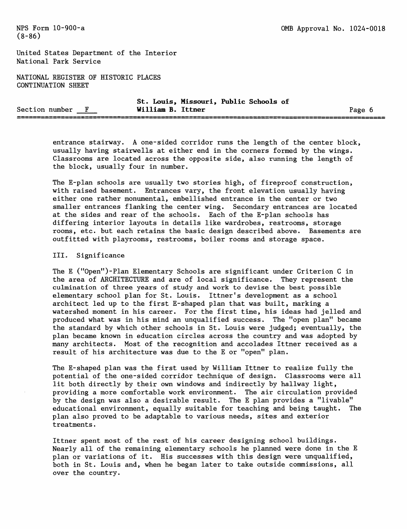United States Department of the Interior National Park Service

NATIONAL REGISTER OF HISTORIC PLACES CONTINUATION SHEET

|                | St. Louis, Missouri, Public Schools of |  |  |        |  |
|----------------|----------------------------------------|--|--|--------|--|
| Section number | William B. Ittner                      |  |  | Page 6 |  |
|                |                                        |  |  |        |  |

entrance stairway. A one-sided corridor runs the length of the center block, usually having stairwells at either end in the corners formed by the wings. Classrooms are located across the opposite side, also running the length of the block, usually four in number.

The E-plan schools are usually two stories high, of fireproof construction, with raised basement. Entrances vary, the front elevation usually having either one rather monumental, embellished entrance in the center or two smaller entrances flanking the center wing. Secondary entrances are located at the sides and rear of the schools. Each of the E-plan schools has differing interior layouts in details like wardrobes, restrooms, storage rooms, etc. but each retains the basic design described above. Basements are outfitted with playrooms, restrooms, boiler rooms and storage space.

#### III. Significance

The E ("Open")-Plan Elementary Schools are significant under Criterion C in the area of ARCHITECTURE and are of local significance. They represent the culmination of three years of study and work to devise the best possible elementary school plan for St. Louis. Ittner's development as a school architect led up to the first E-shaped plan that was built, marking a watershed moment in his career. For the first time, his ideas had jelled and produced what was in his mind an unqualified success. The "open plan" became the standard by which other schools in St. Louis were judged; eventually, the plan became known in education circles across the country and was adopted by many architects. Most of the recognition and accolades Ittner received as a result of his architecture was due to the E or "open" plan.

The E-shaped plan was the first used by William Ittner to realize fully the potential of the one-sided corridor technique of design. Classrooms were all lit both directly by their own windows and indirectly by hallway light, providing a more comfortable work environment. The air circulation provided by the design was also a desirable result. The E plan provides a "livable" educational environment, equally suitable for teaching and being taught. The plan also proved to be adaptable to various needs, sites and exterior treatments.

Ittner spent most of the rest of his career designing school buildings. Nearly all of the remaining elementary schools he planned were done in the E plan or variations of it. His successes with this design were unqualified, both in St. Louis and, when he began later to take outside commissions, all over the country.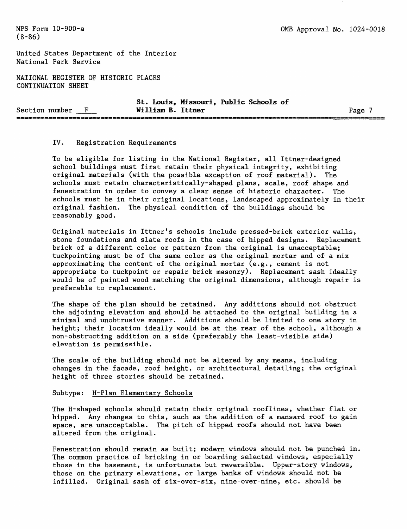United States Department of the Interior National Park Service

NATIONAL REGISTER OF HISTORIC PLACES CONTINUATION SHEET

|                | St.               | Louis, Missouri, Public Schools of |      |
|----------------|-------------------|------------------------------------|------|
| Section number | William B. Ittner |                                    | Page |
|                |                   |                                    |      |

## IV. Registration Requirements

To be eligible for listing in the National Register, all Ittner-designed school buildings must first retain their physical integrity, exhibiting original materials (with the possible exception of roof material). The schools must retain characteristically-shaped plans, scale, roof shape and fenestration in order to convey a clear sense of historic character. The schools must be in their original locations, landscaped approximately in their original fashion. The physical condition of the buildings should be reasonably good.

Original materials in Ittner's schools include pressed-brick exterior walls, stone foundations and slate roofs in the case of hipped designs. Replacement brick of a different color or pattern from the original is unacceptable; tuckpointing must be of the same color as the original mortar and of a mix approximating the content of the original mortar (e.g., cement is not appropriate to tuckpoint or repair brick masonry). Replacement sash ideally would be of painted wood matching the original dimensions, although repair is preferable to replacement.

The shape of the plan should be retained. Any additions should not obstruct the adjoining elevation and should be attached to the original building in a minimal and unobtrusive manner. Additions should be limited to one story in height; their location ideally would be at the rear of the school, although a non-obstructing addition on a side (preferably the least-visible side) elevation is permissible.

The scale of the building should not be altered by any means, including changes in the facade, roof height, or architectural detailing; the original height of three stories should be retained.

#### Subtype: H-Plan Elementary Schools

The H-shaped schools should retain their original rooflines, whether flat or hipped. Any changes to this, such as the addition of a mansard roof to gain space, are unacceptable. The pitch of hipped roofs should not have been altered from the original.

Fenestration should remain as built; modern windows should not be punched in. The common practice of bricking in or boarding selected windows, especially those in the basement, is unfortunate but reversible. Upper-story windows, those on the primary elevations, or large banks of windows should not be infilled. Original sash of six-over-six, nine-over-nine, etc. should be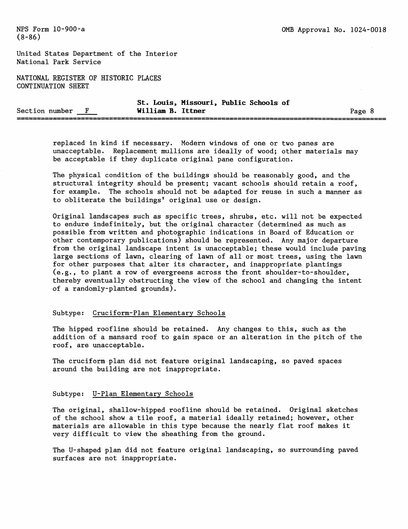United States Department of the Interior National Park Service

NATIONAL REGISTER OF HISTORIC PLACES CONTINUATION SHEET

|                |                   | St. Louis, Missouri, Public Schools of |      |
|----------------|-------------------|----------------------------------------|------|
| Section number | William B. Ittner |                                        | Page |
|                |                   |                                        |      |

replaced in kind if necessary. Modern windows of one or two panes are unacceptable. Replacement mullions are ideally of wood; other materials may be acceptable if they duplicate original pane configuration.

The physical condition of the buildings should be reasonably good, and the structural integrity should be present; vacant schools should retain a roof, for example. The schools should not be adapted for reuse in such a manner as to obliterate the buildings' original use or design.

Original landscapes such as specific trees, shrubs, etc. will not be expected to endure indefinitely, but the original character (determined as much as possible from written and photographic indications in Board of Education or other contemporary publications) should be represented. Any major departure from the original landscape intent is unacceptable; these would include paving large sections of lawn, clearing of lawn of all or most trees, using the lawn for other purposes that alter its character, and inappropriate plantings (e.g., to plant a row of evergreens across the front shoulder-to-shoulder, thereby eventually obstructing the view of the school and changing the intent of a randomly-planted grounds).

#### Subtype: Cruciform-Plan Elementary Schools

The hipped roofline should be retained. Any changes to this, such as the addition of a mansard roof to gain space or an alteration in the pitch of the roof, are unacceptable.

The cruciform plan did not feature original landscaping, so paved spaces around the building are not inappropriate.

#### Subtype: U-Plan Elementary Schools

The original, shallow-hipped roofline should be retained. Original sketches of the school show a tile roof, a material ideally retained; however, other materials are allowable in this type because the nearly flat roof makes it very difficult to view the sheathing from the ground.

The U-shaped plan did not feature original landscaping, so surrounding paved surfaces are not inappropriate.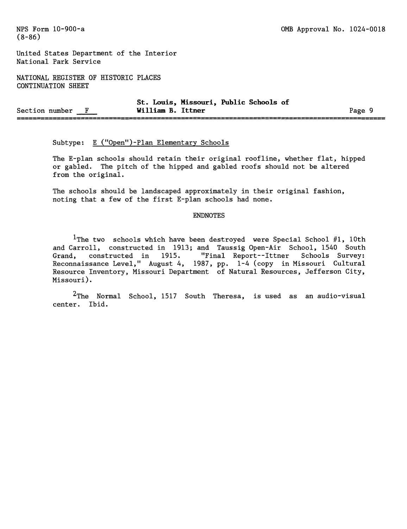United States Department of the Interior National Park Service

NATIONAL REGISTER OF HISTORIC PLACES CONTINUATION SHEET

|                                                                                                                               | St. Louis, Missouri, Public Schools of |      |
|-------------------------------------------------------------------------------------------------------------------------------|----------------------------------------|------|
| Section number                                                                                                                | William B. Ittner                      | Page |
| الركال والتار والتار والأواقي فالتوا فتنت وننفذ والتراسي التنار والتار والتواصل والمتنا والمتوافقات المتنا والتراس والمراجعات |                                        |      |

# Subtype: E ("Open") -Plan Elementary Schools

The E-plan schools should retain their original roofline, whether flat, hipped or gabled. The pitch of the hipped and gabled roofs should not be altered from the original.

The schools should be landscaped approximately in their original fashion, noting that a few of the first E-plan schools had none.

### ENDNOTES

<sup>1</sup>The two schools which have been destroyed were Special School  $#1$ , 10th and Carroll, constructed in 1913; and Taussig Open-Air School, 1540 South<br>Grand, constructed in 1915. "Final Report--Ittner Schools Survey: Grand, constructed in 1915. Reconnaissance Level," August 4, 1987, pp. 1-4 (copy in Missouri Cultural Resource Inventory, Missouri Department of Natural Resources, Jefferson City, Missouri) .

 $2$ The Normal School, 1517 South Theresa, is used as an audio-visual center. Ibid.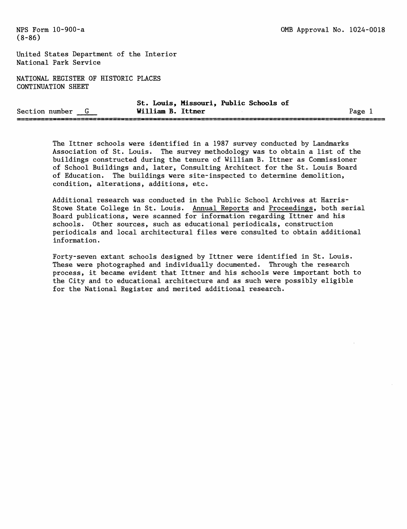United States Department of the Interior National Park Service

NATIONAL REGISTER OF HISTORIC PLACES CONTINUATION SHEET

|                |                   | St. Louis, Missouri, Public Schools of |      |
|----------------|-------------------|----------------------------------------|------|
| Section number | William B. Ittner |                                        | Page |
|                |                   |                                        |      |

The Ittner schools were identified in a 1987 survey conducted by Landmarks Association of St. Louis. The survey methodology was to obtain a list of the buildings constructed during the tenure of William B. Ittner as Commissioner of School Buildings and, later, Consulting Architect for the St. Louis Board of Education. The buildings were site-inspected to determine demolition, condition, alterations, additions, etc.

Additional research was conducted in the Public School Archives at Harris-Stowe State College in St. Louis. Annual Reports and Proceedings, both serial Board publications, were scanned for information regarding Ittner and his schools. Other sources, such as educational periodicals, construction periodicals and local architectural files were consulted to obtain additional information.

Forty-seven extant schools designed by Ittner were identified in St. Louis. These were photographed and individually documented. Through the research process, it became evident that Ittner and his schools were important both to the City and to educational architecture and as such were possibly eligible for the National Register and merited additional research.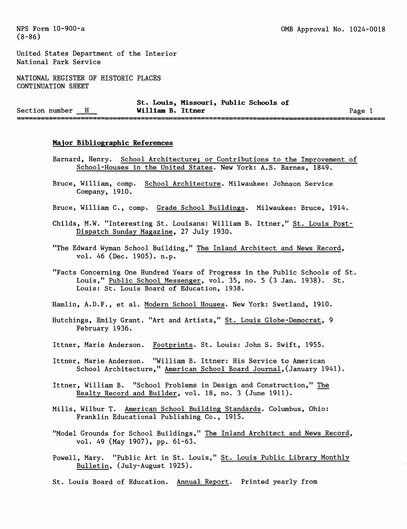United States Department of the Interior National Park Service

NATIONAL REGISTER OF HISTORIC PLACES CONTINUATION SHEET

|                  |                   | St. Louis, Missouri, Public Schools of |      |
|------------------|-------------------|----------------------------------------|------|
| Section number H | William B. Ittner |                                        | Page |
|                  |                   |                                        |      |

#### **Major Bibliographic References**

- Barnard, Henry. School Architecture; or Contributions to the Improvement of School-Houses in the United States. New York: A.S. Barnes, 1849.
- Bruce, William, comp. School Architecture. Milwaukee: Johnson Service Company, 1910.
- Bruce, William C., comp. Grade School Buildings. Milwaukee: Bruce, 1914.
- Childs, M.W. "Interesting St. Louisans: William B. Ittner," St. Louis Post-Dispatch Sunday Magazine, 27 July 1930.
- "The Edward Wyman School Building," The Inland Architect and News Record, vol. 46 (Dec. 1905). n.p.
- "Facts Concerning One Hundred Years of Progress in the Public Schools of St. Louis," Public School Messenger, vol. 35, no. 5 (3 Jan. 1938). St. Louis: St. Louis Board of Education, 1938.
- Hamlin, A.D.F., et al. Modern School Houses. New York: Swetland, 1910.
- Hutchings, Emily Grant. "Art and Artists," St. Louis Globe-Democrat, 9 February 1936.
- Ittner, Marie Anderson. Footprints. St. Louis: John S. Swift, 1955.
- Ittner, Marie Anderson. "William B. Ittner: His Service to American School Architecture," American School Board Journal,(January 1941).
- Ittner, William B. "School Problems in Design and Construction," The Realty Record and Builder, vol. 18, no. 3 (June 1911).
- Mills, Wilbur T. American School Building Standards. Columbus, Ohio: Franklin Educational Publishing Co., 1915.
- "Model Grounds for School Buildings," The Inland Architect and News Record, vol. 49 (May 1907), pp. 61-63.
- Powell, Mary. "Public Art in St. Louis," St. Louis Public Library Monthly Bulletin, (July-August 1925).
- St. Louis Board of Education. Annual Report. Printed yearly from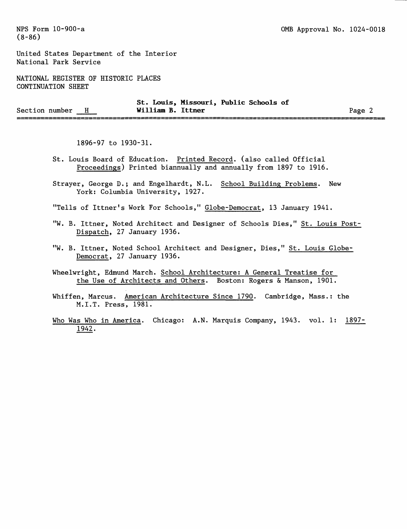United States Department of the Interior National Park Service

NATIONAL REGISTER OF HISTORIC PLACES CONTINUATION SHEET

|                |                   | St. Louis, Missouri, Public Schools of |        |
|----------------|-------------------|----------------------------------------|--------|
| Section number | William B. Ittner |                                        | Page 2 |
|                |                   |                                        |        |

1896-97 to 1930-31.

- St. Louis Board of Education. Printed Record, (also called Official Proceedings) Printed biannually and annually from 1897 to 1916.
- Strayer, George D.; and Engelhardt, N.L. School Building Problems. New York: Columbia University, 1927.

"Tells of Ittner's Work For Schools," Globe-Democrat, 13 January 1941.

- "W. B. Ittner, Noted Architect and Designer of Schools Dies," St. Louis Post-Dispatch, 27 January 1936.
- "W. B. Ittner, Noted School Architect and Designer, Dies," St. Louis Globe-Democrat, 27 January 1936.
- Wheelwright, Edmund March. School Architecture: A General Treatise for the Use of Architects and Others. Boston: Rogers & Manson, 1901.
- Whiffen, Marcus. American Architecture Since 1790. Cambridge, Mass.: the M.I.T. Press, 1981.
- Who Was Who in America. Chicago: A.N. Marquis Company, 1943. vol. 1: 1897-1942.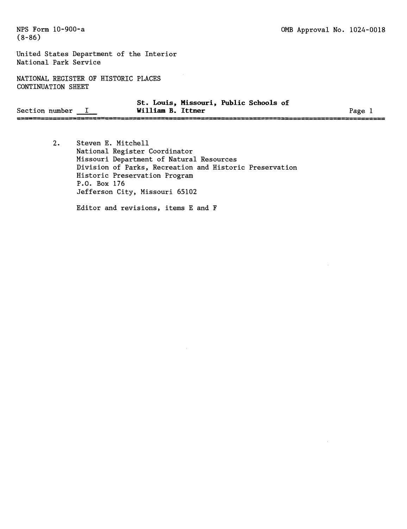United States Department of the Interior National Park Service

NATIONAL REGISTER OF HISTORIC PLACES CONTINUATION SHEET

|                | St. Louis, Missouri, Public Schools of |        |
|----------------|----------------------------------------|--------|
| Section number | William B. Ittner                      | Page i |
|                |                                        |        |

 $2.$ Steven E. Mitchell National Register Coordinator Missouri Department of Natural Resources Division of Parks, Recreation and Historic Preservation Historic Preservation Program P.O. Box 176 Jefferson City, Missouri 65102

Editor and revisions, items E and F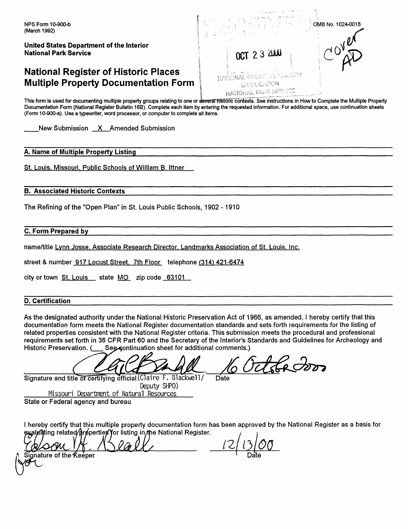# **National Register of Historic Places Multiple Property Documentation Form**



detsed

This form is used for documenting multiple property groups relating to one or several historic contexts. See instructions in How to Complete the Multiple Property Documentation Form (National Register Bulletin 16B). Complete each item by entering the requested information. For additional space, use continuation sheets (Form 10-900-a). Use a typewriter, word processor, or computer to complete all items.

 $\sqrt{2}$ 

New Submission X Amended Submission

# **A. Name of Multiple Property Listing**

St. Louis, Missouri, Public Schools of William B. Ittner

## **B. Associated Historic Contexts**

The Refining of the "Open Plan" in St. Louis Public Schools, 1902 -1910

**C. Form Prepared by** 

name/title Lynn Josse, Associate Research Director, Landmarks Association of St. Louis, Inc.

street & number 917 Locust Street, 7th Floor telephone (314) 421-6474

city or town St. Louis \_ state MO zip code 63101

# **D. Certification**

As the designated authority under the National Historic Preservation Act of 1966, as amended, I hereby certify that this documentation form meets the National Register documentation standards and sets forth requirements for the listing of related properties consistent with the National Register criteria. This submission meets the procedural and professional requirements set forth in 36 CFR Part 60 and the Secretary of the Interior's Standards and Guidelines for Archeology and Historic Preservation. ( \_\_ See continuation sheet for additional comments.)

Signature and title of certifying official (Claire F. Blackwell/ Data

Deputy SHPO) Missouri Departrrent of Natural Resources State or Federal agency and bureau

I hereby certify that this multiple property documentation form has been approved by the National Register as a basis for eyaløâting related∕prøperties for listing in nhe National Register.

 $\mathsf{a}$ ature of the $\mathsf{\mathcal{K}}$ eëper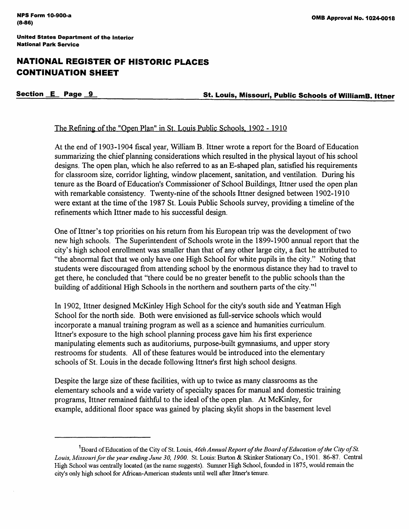# **NATIONAL REGISTER OF HISTORIC PLACES CONTINUATION SHEET**

**Section \_IL Page \_jL St. Louis, Missouri, Public Schools of Williama. Ittner** 

# The Refining of the "Open Plan" in St, Louis Public Schools, 1902 - 1910

At the end of 1903-1904 fiscal year, William B. Ittner wrote a report for the Board of Education summarizing the chief planning considerations which resulted in the physical layout of his school designs. The open plan, which he also referred to as an E-shaped plan, satisfied his requirements for classroom size, corridor lighting, window placement, sanitation, and ventilation. During his tenure as the Board of Education's Commissioner of School Buildings, Ittner used the open plan with remarkable consistency. Twenty-nine of the schools Ittner designed between 1902-1910 were extant at the time of the 1987 St. Louis Public Schools survey, providing a timeline of the refinements which Ittner made to his successful design.

One of Ittner's top priorities on his return from his European trip was the development of two new high schools. The Superintendent of Schools wrote in the 1899-1900 annual report that the city's high school enrollment was smaller than that of any other large city, a fact he attributed to "the abnormal fact that we only have one High School for white pupils in the city." Noting that students were discouraged from attending school by the enormous distance they had to travel to get there, he concluded that "there could be no greater benefit to the public schools than the building of additional High Schools in the northern and southern parts of the city."<sup>1</sup>

In 1902, Ittner designed McKinley High School for the city's south side and Yeatman High School for the north side. Both were envisioned as full-service schools which would incorporate a manual training program as well as a science and humanities curriculum. Ittner's exposure to the high school planning process gave him his first experience manipulating elements such as auditoriums, purpose-built gymnasiums, and upper story restrooms for students. All of these features would be introduced into the elementary schools of St. Louis in the decade following Ittner's first high school designs.

Despite the large size of these facilities, with up to twice as many classrooms as the elementary schools and a wide variety of specialty spaces for manual and domestic training programs, Ittner remained faithful to the ideal of the open plan. At McKinley, for example, additional floor space was gained by placing skylit shops in the basement level

<sup>&</sup>lt;sup>1</sup> Board of Education of the City of St. Louis, 46th Annual Report of the Board of Education of the City of St. *Louis, Missouri for the year ending June 30, 1900.* St. Louis: Burton & Skinker Stationary Co., 1901. 86-87. Central High School was centrally located (as the name suggests). Sumner High School, founded in 1875, would remain the city's only high school for African-American students until well after Ittner's tenure.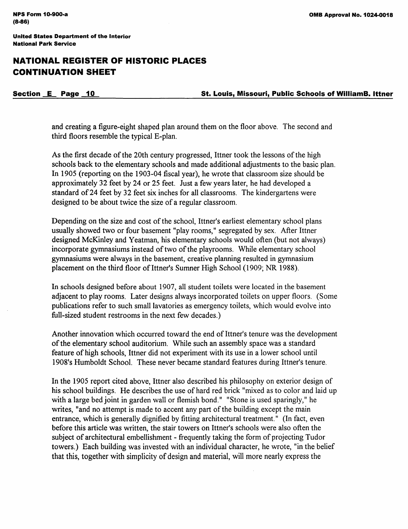# **NATIONAL REGISTER OF HISTORIC PLACES CONTINUATION SHEET**

**Section E Page -1L St. Louis, Missouri, Public Schools of Williama. Ittner** 

and creating a figure-eight shaped plan around them on the floor above. The second and third floors resemble the typical E-plan.

As the first decade of the 20th century progressed, Ittner took the lessons of the high schools back to the elementary schools and made additional adjustments to the basic plan. In 1905 (reporting on the 1903-04 fiscal year), he wrote that classroom size should be approximately 32 feet by 24 or 25 feet. Just a few years later, he had developed a standard of 24 feet by 32 feet six inches for all classrooms. The kindergartens were designed to be about twice the size of a regular classroom.

Depending on the size and cost of the school, Ittner's earliest elementary school plans usually showed two or four basement "play rooms," segregated by sex. After Ittner designed McKinley and Yeatman, his elementary schools would often (but not always) incorporate gymnasiums instead of two of the playrooms. While elementary school gymnasiums were always in the basement, creative planning resulted in gymnasium placement on the third floor of Ittner's Sumner High School (1909; NR 1988).

In schools designed before about 1907, all student toilets were located in the basement adjacent to play rooms. Later designs always incorporated toilets on upper floors. (Some publications refer to such small lavatories as emergency toilets, which would evolve into full-sized student restrooms in the next few decades.)

Another innovation which occurred toward the end of Ittner's tenure was the development of the elementary school auditorium. While such an assembly space was a standard feature of high schools, Ittner did not experiment with its use in a lower school until l 908's Humboldt School. These never became standard features during Ittner's tenure.

In the 1905 report cited above, Ittner also described his philosophy on exterior design of his school buildings. He describes the use of hard red brick "mixed as to color and laid up with a large bed joint in garden wall or flemish bond." "Stone is used sparingly," he writes, "and no attempt is made to accent any part of the building except the main entrance, which is generally dignified by fitting architectural treatment." (In fact, even before this article was written, the stair towers on Ittner's schools were also often the subject of architectural embellishment - frequently taking the form of projecting Tudor towers.) Each building was invested with an individual character, he wrote, "in the belief that this, together with simplicity of design and material, will more nearly express the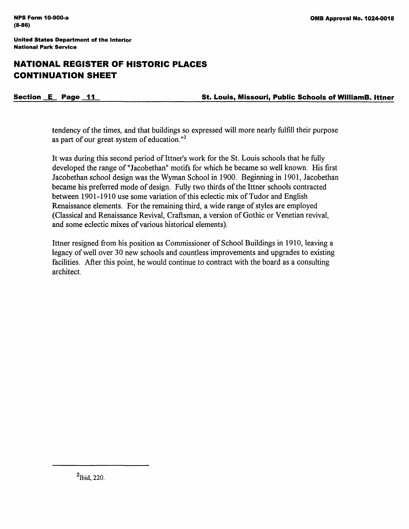# **NATIONAL REGISTER OF HISTORIC PLACES CONTINUATION SHEET**

**Section \_IL Page \_jj\_ St. Louis, Missouri, Public Schools of Williama. Ittner** 

tendency of the times, and that buildings so expressed will more nearly fulfill their purpose as part of our great system of education. " 2

It was during this second period of Ittner's work for the St. Louis schools that he fully developed the range of "Jacobethan" motifs for which he became so well known. His first Jacobethan school design was the Wyman School in 1900. Beginning in 1901, Jacobethan became his preferred mode of design. Fully two thirds of the Ittner schools contracted between 1901-1910 use some variation of this eclectic mix of Tudor and English Renaissance elements. For the remaining third, a wide range of styles are employed (Classical and Renaissance Revival, Craftsman, a version of Gothic or Venetian revival, and some eclectic mixes of various historical elements).

Ittner resigned from his position as Commissioner of School Buildings in 1910, leaving a legacy of well over 30 new schools and countless improvements and upgrades to existing facilities. After this point, he would continue to contract with the board as a consulting architect.